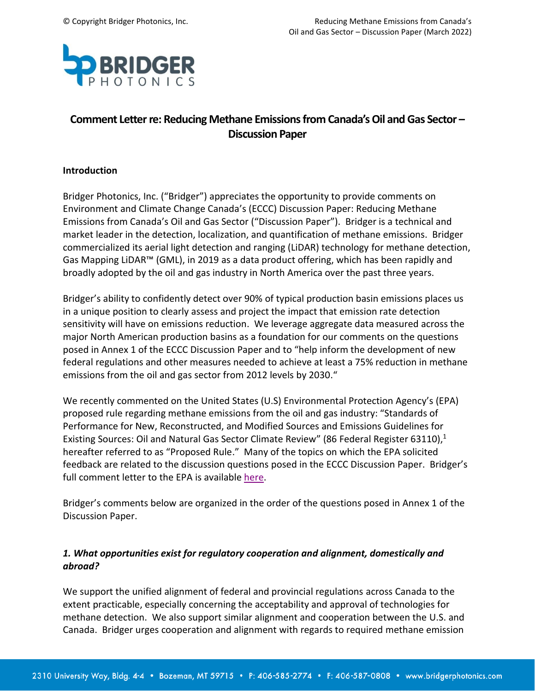

# **Comment Letter re: Reducing Methane Emissions from Canada's Oil and Gas Sector – Discussion Paper**

#### **Introduction**

Bridger Photonics, Inc. ("Bridger") appreciates the opportunity to provide comments on Environment and Climate Change Canada's (ECCC) Discussion Paper: Reducing Methane Emissions from Canada's Oil and Gas Sector ("Discussion Paper"). Bridger is a technical and market leader in the detection, localization, and quantification of methane emissions. Bridger commercialized its aerial light detection and ranging (LiDAR) technology for methane detection, Gas Mapping LiDAR™ (GML), in 2019 as a data product offering, which has been rapidly and broadly adopted by the oil and gas industry in North America over the past three years.

Bridger's ability to confidently detect over 90% of typical production basin emissions places us in a unique position to clearly assess and project the impact that emission rate detection sensitivity will have on emissions reduction. We leverage aggregate data measured across the major North American production basins as a foundation for our comments on the questions posed in Annex 1 of the ECCC Discussion Paper and to "help inform the development of new federal regulations and other measures needed to achieve at least a 75% reduction in methane emissions from the oil and gas sector from 2012 levels by 2030."

We recently commented on the United States (U.S) Environmental Protection Agency's (EPA) proposed rule regarding methane emissions from the oil and gas industry: "Standards of Performance for New, Reconstructed, and Modified Sources and Emissions Guidelines for Existing Sources: Oil and Natural Gas Sector Climate Review" (86 Federal Register 63110),<sup>1</sup> hereafter referred to as "Proposed Rule." Many of the topics on which the EPA solicited feedback are related to the discussion questions posed in the ECCC Discussion Paper. Bridger's full comment letter to the EPA is available [here.](https://www.bridgerphotonics.com/sites/default/files/inline-files/BridgerPhotonics_CommentLetterOnProposedMethaneRule_0.pdf)

Bridger's comments below are organized in the order of the questions posed in Annex 1 of the Discussion Paper.

### *1. What opportunities exist for regulatory cooperation and alignment, domestically and abroad?*

We support the unified alignment of federal and provincial regulations across Canada to the extent practicable, especially concerning the acceptability and approval of technologies for methane detection. We also support similar alignment and cooperation between the U.S. and Canada. Bridger urges cooperation and alignment with regards to required methane emission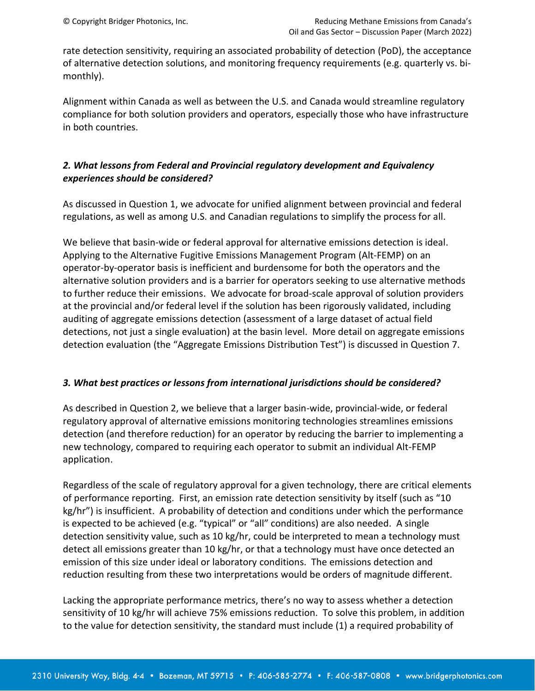rate detection sensitivity, requiring an associated probability of detection (PoD), the acceptance of alternative detection solutions, and monitoring frequency requirements (e.g. quarterly vs. bimonthly).

Alignment within Canada as well as between the U.S. and Canada would streamline regulatory compliance for both solution providers and operators, especially those who have infrastructure in both countries.

# *2. What lessons from Federal and Provincial regulatory development and Equivalency experiences should be considered?*

As discussed in Question 1, we advocate for unified alignment between provincial and federal regulations, as well as among U.S. and Canadian regulations to simplify the process for all.

We believe that basin-wide or federal approval for alternative emissions detection is ideal. Applying to the Alternative Fugitive Emissions Management Program (Alt-FEMP) on an operator-by-operator basis is inefficient and burdensome for both the operators and the alternative solution providers and is a barrier for operators seeking to use alternative methods to further reduce their emissions. We advocate for broad-scale approval of solution providers at the provincial and/or federal level if the solution has been rigorously validated, including auditing of aggregate emissions detection (assessment of a large dataset of actual field detections, not just a single evaluation) at the basin level. More detail on aggregate emissions detection evaluation (the "Aggregate Emissions Distribution Test") is discussed in Question 7.

### *3. What best practices or lessons from international jurisdictions should be considered?*

As described in Question 2, we believe that a larger basin-wide, provincial-wide, or federal regulatory approval of alternative emissions monitoring technologies streamlines emissions detection (and therefore reduction) for an operator by reducing the barrier to implementing a new technology, compared to requiring each operator to submit an individual Alt-FEMP application.

Regardless of the scale of regulatory approval for a given technology, there are critical elements of performance reporting. First, an emission rate detection sensitivity by itself (such as "10 kg/hr") is insufficient. A probability of detection and conditions under which the performance is expected to be achieved (e.g. "typical" or "all" conditions) are also needed. A single detection sensitivity value, such as 10 kg/hr, could be interpreted to mean a technology must detect all emissions greater than 10 kg/hr, or that a technology must have once detected an emission of this size under ideal or laboratory conditions. The emissions detection and reduction resulting from these two interpretations would be orders of magnitude different.

Lacking the appropriate performance metrics, there's no way to assess whether a detection sensitivity of 10 kg/hr will achieve 75% emissions reduction. To solve this problem, in addition to the value for detection sensitivity, the standard must include (1) a required probability of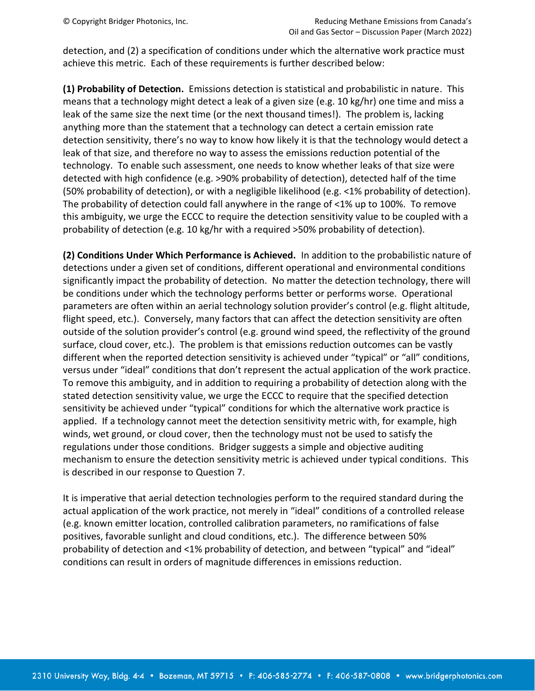detection, and (2) a specification of conditions under which the alternative work practice must achieve this metric. Each of these requirements is further described below:

**(1) Probability of Detection.** Emissions detection is statistical and probabilistic in nature. This means that a technology might detect a leak of a given size (e.g. 10 kg/hr) one time and miss a leak of the same size the next time (or the next thousand times!). The problem is, lacking anything more than the statement that a technology can detect a certain emission rate detection sensitivity, there's no way to know how likely it is that the technology would detect a leak of that size, and therefore no way to assess the emissions reduction potential of the technology. To enable such assessment, one needs to know whether leaks of that size were detected with high confidence (e.g. >90% probability of detection), detected half of the time (50% probability of detection), or with a negligible likelihood (e.g. <1% probability of detection). The probability of detection could fall anywhere in the range of <1% up to 100%. To remove this ambiguity, we urge the ECCC to require the detection sensitivity value to be coupled with a probability of detection (e.g. 10 kg/hr with a required >50% probability of detection).

**(2) Conditions Under Which Performance is Achieved.** In addition to the probabilistic nature of detections under a given set of conditions, different operational and environmental conditions significantly impact the probability of detection. No matter the detection technology, there will be conditions under which the technology performs better or performs worse. Operational parameters are often within an aerial technology solution provider's control (e.g. flight altitude, flight speed, etc.). Conversely, many factors that can affect the detection sensitivity are often outside of the solution provider's control (e.g. ground wind speed, the reflectivity of the ground surface, cloud cover, etc.). The problem is that emissions reduction outcomes can be vastly different when the reported detection sensitivity is achieved under "typical" or "all" conditions, versus under "ideal" conditions that don't represent the actual application of the work practice. To remove this ambiguity, and in addition to requiring a probability of detection along with the stated detection sensitivity value, we urge the ECCC to require that the specified detection sensitivity be achieved under "typical" conditions for which the alternative work practice is applied. If a technology cannot meet the detection sensitivity metric with, for example, high winds, wet ground, or cloud cover, then the technology must not be used to satisfy the regulations under those conditions. Bridger suggests a simple and objective auditing mechanism to ensure the detection sensitivity metric is achieved under typical conditions. This is described in our response to Question 7.

It is imperative that aerial detection technologies perform to the required standard during the actual application of the work practice, not merely in "ideal" conditions of a controlled release (e.g. known emitter location, controlled calibration parameters, no ramifications of false positives, favorable sunlight and cloud conditions, etc.). The difference between 50% probability of detection and <1% probability of detection, and between "typical" and "ideal" conditions can result in orders of magnitude differences in emissions reduction.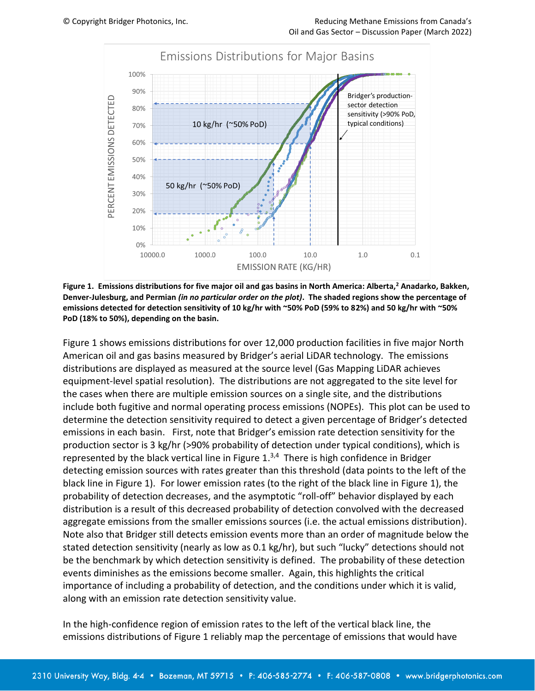

**Figure 1. Emissions distributions for five major oil and gas basins in North America: Alberta,<sup>2</sup> Anadarko, Bakken, Denver-Julesburg, and Permian** *(in no particular order on the plot)***. The shaded regions show the percentage of emissions detected for detection sensitivity of 10 kg/hr with ~50% PoD (59% to 82%) and 50 kg/hr with ~50% PoD (18% to 50%), depending on the basin.**

Figure 1 shows emissions distributions for over 12,000 production facilities in five major North American oil and gas basins measured by Bridger's aerial LiDAR technology. The emissions distributions are displayed as measured at the source level (Gas Mapping LiDAR achieves equipment-level spatial resolution). The distributions are not aggregated to the site level for the cases when there are multiple emission sources on a single site, and the distributions include both fugitive and normal operating process emissions (NOPEs). This plot can be used to determine the detection sensitivity required to detect a given percentage of Bridger's detected emissions in each basin. First, note that Bridger's emission rate detection sensitivity for the production sector is 3 kg/hr (>90% probability of detection under typical conditions), which is represented by the black vertical line in Figure 1.<sup>3,4</sup> There is high confidence in Bridger detecting emission sources with rates greater than this threshold (data points to the left of the black line in Figure 1). For lower emission rates (to the right of the black line in Figure 1), the probability of detection decreases, and the asymptotic "roll-off" behavior displayed by each distribution is a result of this decreased probability of detection convolved with the decreased aggregate emissions from the smaller emissions sources (i.e. the actual emissions distribution). Note also that Bridger still detects emission events more than an order of magnitude below the stated detection sensitivity (nearly as low as 0.1 kg/hr), but such "lucky" detections should not be the benchmark by which detection sensitivity is defined. The probability of these detection events diminishes as the emissions become smaller. Again, this highlights the critical importance of including a probability of detection, and the conditions under which it is valid, along with an emission rate detection sensitivity value.

In the high-confidence region of emission rates to the left of the vertical black line, the emissions distributions of Figure 1 reliably map the percentage of emissions that would have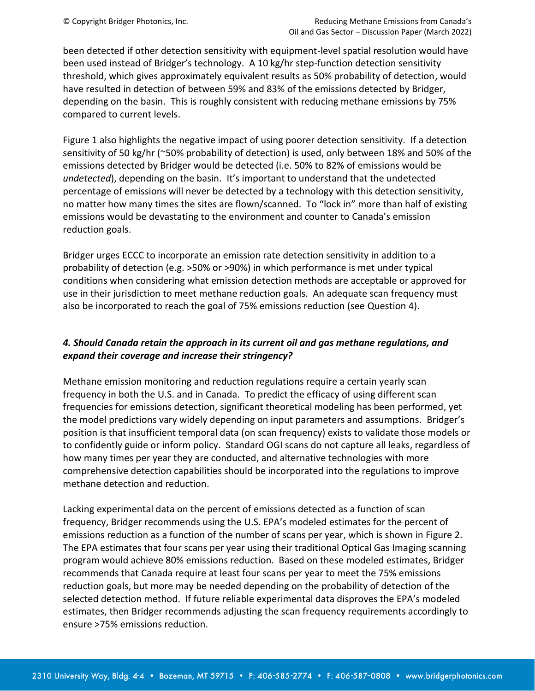been detected if other detection sensitivity with equipment-level spatial resolution would have been used instead of Bridger's technology. A 10 kg/hr step-function detection sensitivity threshold, which gives approximately equivalent results as 50% probability of detection, would have resulted in detection of between 59% and 83% of the emissions detected by Bridger, depending on the basin. This is roughly consistent with reducing methane emissions by 75% compared to current levels.

Figure 1 also highlights the negative impact of using poorer detection sensitivity. If a detection sensitivity of 50 kg/hr (~50% probability of detection) is used, only between 18% and 50% of the emissions detected by Bridger would be detected (i.e. 50% to 82% of emissions would be *undetected*), depending on the basin. It's important to understand that the undetected percentage of emissions will never be detected by a technology with this detection sensitivity, no matter how many times the sites are flown/scanned. To "lock in" more than half of existing emissions would be devastating to the environment and counter to Canada's emission reduction goals.

Bridger urges ECCC to incorporate an emission rate detection sensitivity in addition to a probability of detection (e.g. >50% or >90%) in which performance is met under typical conditions when considering what emission detection methods are acceptable or approved for use in their jurisdiction to meet methane reduction goals. An adequate scan frequency must also be incorporated to reach the goal of 75% emissions reduction (see Question 4).

# *4. Should Canada retain the approach in its current oil and gas methane regulations, and expand their coverage and increase their stringency?*

Methane emission monitoring and reduction regulations require a certain yearly scan frequency in both the U.S. and in Canada. To predict the efficacy of using different scan frequencies for emissions detection, significant theoretical modeling has been performed, yet the model predictions vary widely depending on input parameters and assumptions. Bridger's position is that insufficient temporal data (on scan frequency) exists to validate those models or to confidently guide or inform policy. Standard OGI scans do not capture all leaks, regardless of how many times per year they are conducted, and alternative technologies with more comprehensive detection capabilities should be incorporated into the regulations to improve methane detection and reduction.

Lacking experimental data on the percent of emissions detected as a function of scan frequency, Bridger recommends using the U.S. EPA's modeled estimates for the percent of emissions reduction as a function of the number of scans per year, which is shown in Figure 2. The EPA estimates that four scans per year using their traditional Optical Gas Imaging scanning program would achieve 80% emissions reduction. Based on these modeled estimates, Bridger recommends that Canada require at least four scans per year to meet the 75% emissions reduction goals, but more may be needed depending on the probability of detection of the selected detection method. If future reliable experimental data disproves the EPA's modeled estimates, then Bridger recommends adjusting the scan frequency requirements accordingly to ensure >75% emissions reduction.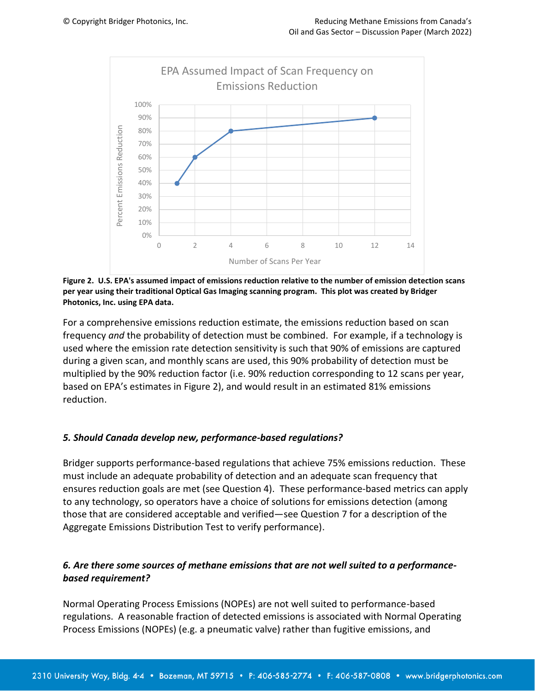

**Figure 2. U.S. EPA's assumed impact of emissions reduction relative to the number of emission detection scans per year using their traditional Optical Gas Imaging scanning program. This plot was created by Bridger Photonics, Inc. using EPA data.**

For a comprehensive emissions reduction estimate, the emissions reduction based on scan frequency *and* the probability of detection must be combined. For example, if a technology is used where the emission rate detection sensitivity is such that 90% of emissions are captured during a given scan, and monthly scans are used, this 90% probability of detection must be multiplied by the 90% reduction factor (i.e. 90% reduction corresponding to 12 scans per year, based on EPA's estimates in Figure 2), and would result in an estimated 81% emissions reduction.

### *5. Should Canada develop new, performance-based regulations?*

Bridger supports performance-based regulations that achieve 75% emissions reduction. These must include an adequate probability of detection and an adequate scan frequency that ensures reduction goals are met (see Question 4). These performance-based metrics can apply to any technology, so operators have a choice of solutions for emissions detection (among those that are considered acceptable and verified—see Question 7 for a description of the Aggregate Emissions Distribution Test to verify performance).

# *6. Are there some sources of methane emissions that are not well suited to a performancebased requirement?*

Normal Operating Process Emissions (NOPEs) are not well suited to performance-based regulations. A reasonable fraction of detected emissions is associated with Normal Operating Process Emissions (NOPEs) (e.g. a pneumatic valve) rather than fugitive emissions, and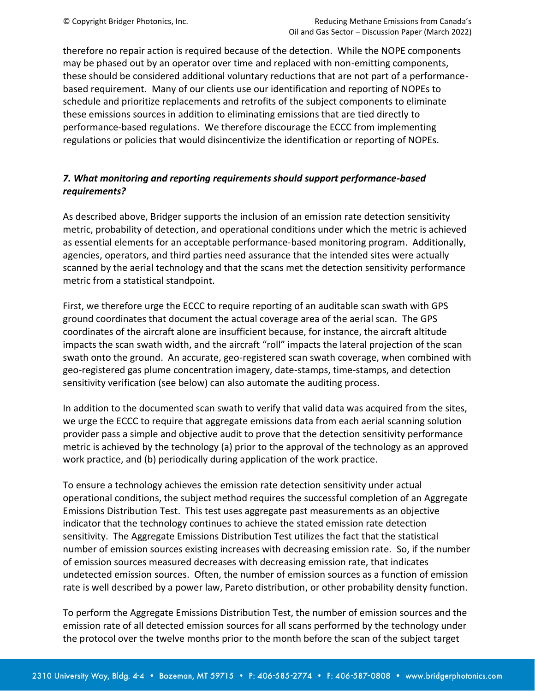therefore no repair action is required because of the detection. While the NOPE components may be phased out by an operator over time and replaced with non-emitting components, these should be considered additional voluntary reductions that are not part of a performancebased requirement. Many of our clients use our identification and reporting of NOPEs to schedule and prioritize replacements and retrofits of the subject components to eliminate these emissions sources in addition to eliminating emissions that are tied directly to performance-based regulations. We therefore discourage the ECCC from implementing regulations or policies that would disincentivize the identification or reporting of NOPEs.

# *7. What monitoring and reporting requirements should support performance-based requirements?*

As described above, Bridger supports the inclusion of an emission rate detection sensitivity metric, probability of detection, and operational conditions under which the metric is achieved as essential elements for an acceptable performance-based monitoring program. Additionally, agencies, operators, and third parties need assurance that the intended sites were actually scanned by the aerial technology and that the scans met the detection sensitivity performance metric from a statistical standpoint.

First, we therefore urge the ECCC to require reporting of an auditable scan swath with GPS ground coordinates that document the actual coverage area of the aerial scan. The GPS coordinates of the aircraft alone are insufficient because, for instance, the aircraft altitude impacts the scan swath width, and the aircraft "roll" impacts the lateral projection of the scan swath onto the ground. An accurate, geo-registered scan swath coverage, when combined with geo-registered gas plume concentration imagery, date-stamps, time-stamps, and detection sensitivity verification (see below) can also automate the auditing process.

In addition to the documented scan swath to verify that valid data was acquired from the sites, we urge the ECCC to require that aggregate emissions data from each aerial scanning solution provider pass a simple and objective audit to prove that the detection sensitivity performance metric is achieved by the technology (a) prior to the approval of the technology as an approved work practice, and (b) periodically during application of the work practice.

To ensure a technology achieves the emission rate detection sensitivity under actual operational conditions, the subject method requires the successful completion of an Aggregate Emissions Distribution Test. This test uses aggregate past measurements as an objective indicator that the technology continues to achieve the stated emission rate detection sensitivity. The Aggregate Emissions Distribution Test utilizes the fact that the statistical number of emission sources existing increases with decreasing emission rate. So, if the number of emission sources measured decreases with decreasing emission rate, that indicates undetected emission sources. Often, the number of emission sources as a function of emission rate is well described by a power law, Pareto distribution, or other probability density function.

To perform the Aggregate Emissions Distribution Test, the number of emission sources and the emission rate of all detected emission sources for all scans performed by the technology under the protocol over the twelve months prior to the month before the scan of the subject target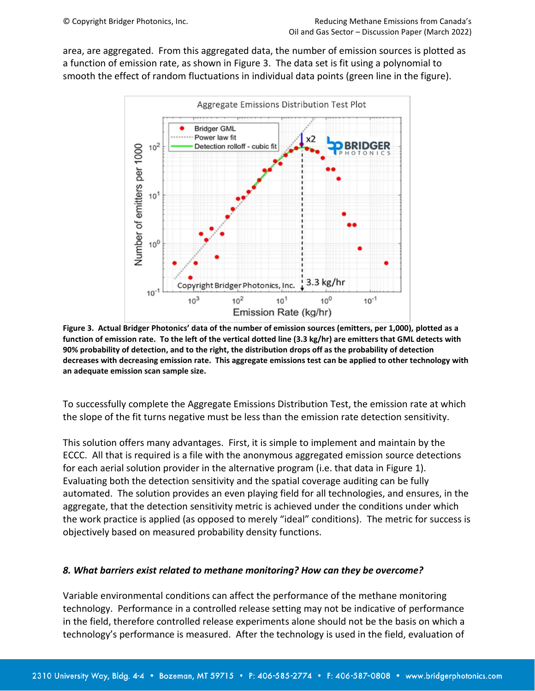area, are aggregated. From this aggregated data, the number of emission sources is plotted as a function of emission rate, as shown in Figure 3. The data set is fit using a polynomial to smooth the effect of random fluctuations in individual data points (green line in the figure).



**Figure 3. Actual Bridger Photonics' data of the number of emission sources (emitters, per 1,000), plotted as a function of emission rate. To the left of the vertical dotted line (3.3 kg/hr) are emitters that GML detects with 90% probability of detection, and to the right, the distribution drops off as the probability of detection decreases with decreasing emission rate. This aggregate emissions test can be applied to other technology with an adequate emission scan sample size.**

To successfully complete the Aggregate Emissions Distribution Test, the emission rate at which the slope of the fit turns negative must be less than the emission rate detection sensitivity.

This solution offers many advantages. First, it is simple to implement and maintain by the ECCC. All that is required is a file with the anonymous aggregated emission source detections for each aerial solution provider in the alternative program (i.e. that data in Figure 1). Evaluating both the detection sensitivity and the spatial coverage auditing can be fully automated. The solution provides an even playing field for all technologies, and ensures, in the aggregate, that the detection sensitivity metric is achieved under the conditions under which the work practice is applied (as opposed to merely "ideal" conditions). The metric for success is objectively based on measured probability density functions.

#### *8. What barriers exist related to methane monitoring? How can they be overcome?*

Variable environmental conditions can affect the performance of the methane monitoring technology. Performance in a controlled release setting may not be indicative of performance in the field, therefore controlled release experiments alone should not be the basis on which a technology's performance is measured. After the technology is used in the field, evaluation of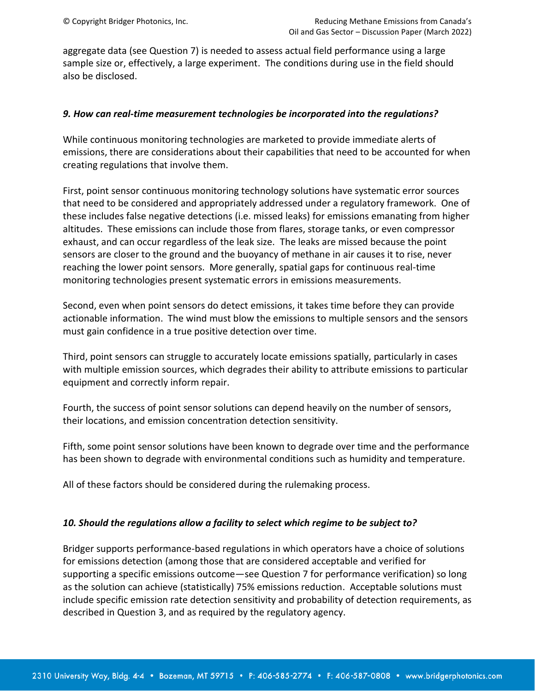aggregate data (see Question 7) is needed to assess actual field performance using a large sample size or, effectively, a large experiment. The conditions during use in the field should also be disclosed.

#### *9. How can real-time measurement technologies be incorporated into the regulations?*

While continuous monitoring technologies are marketed to provide immediate alerts of emissions, there are considerations about their capabilities that need to be accounted for when creating regulations that involve them.

First, point sensor continuous monitoring technology solutions have systematic error sources that need to be considered and appropriately addressed under a regulatory framework. One of these includes false negative detections (i.e. missed leaks) for emissions emanating from higher altitudes. These emissions can include those from flares, storage tanks, or even compressor exhaust, and can occur regardless of the leak size. The leaks are missed because the point sensors are closer to the ground and the buoyancy of methane in air causes it to rise, never reaching the lower point sensors. More generally, spatial gaps for continuous real-time monitoring technologies present systematic errors in emissions measurements.

Second, even when point sensors do detect emissions, it takes time before they can provide actionable information. The wind must blow the emissions to multiple sensors and the sensors must gain confidence in a true positive detection over time.

Third, point sensors can struggle to accurately locate emissions spatially, particularly in cases with multiple emission sources, which degrades their ability to attribute emissions to particular equipment and correctly inform repair.

Fourth, the success of point sensor solutions can depend heavily on the number of sensors, their locations, and emission concentration detection sensitivity.

Fifth, some point sensor solutions have been known to degrade over time and the performance has been shown to degrade with environmental conditions such as humidity and temperature.

All of these factors should be considered during the rulemaking process.

#### *10. Should the regulations allow a facility to select which regime to be subject to?*

Bridger supports performance-based regulations in which operators have a choice of solutions for emissions detection (among those that are considered acceptable and verified for supporting a specific emissions outcome—see Question 7 for performance verification) so long as the solution can achieve (statistically) 75% emissions reduction. Acceptable solutions must include specific emission rate detection sensitivity and probability of detection requirements, as described in Question 3, and as required by the regulatory agency.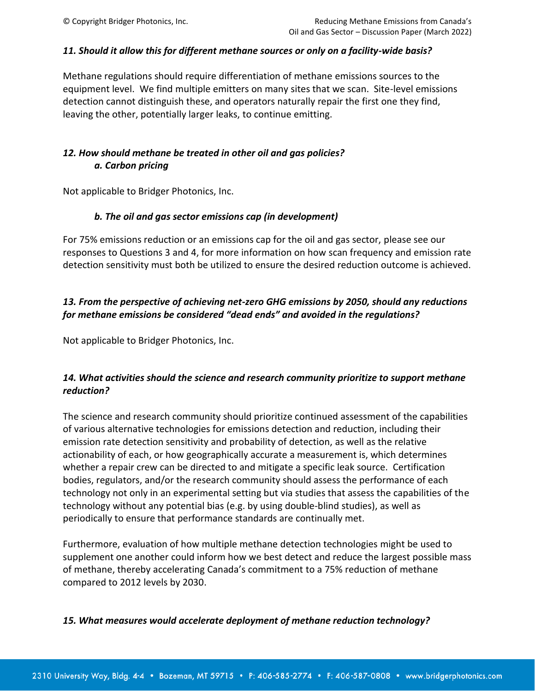### *11. Should it allow this for different methane sources or only on a facility-wide basis?*

Methane regulations should require differentiation of methane emissions sources to the equipment level. We find multiple emitters on many sites that we scan. Site-level emissions detection cannot distinguish these, and operators naturally repair the first one they find, leaving the other, potentially larger leaks, to continue emitting.

# *12. How should methane be treated in other oil and gas policies? a. Carbon pricing*

Not applicable to Bridger Photonics, Inc.

### *b. The oil and gas sector emissions cap (in development)*

For 75% emissions reduction or an emissions cap for the oil and gas sector, please see our responses to Questions 3 and 4, for more information on how scan frequency and emission rate detection sensitivity must both be utilized to ensure the desired reduction outcome is achieved.

# *13. From the perspective of achieving net-zero GHG emissions by 2050, should any reductions for methane emissions be considered "dead ends" and avoided in the regulations?*

Not applicable to Bridger Photonics, Inc.

# *14. What activities should the science and research community prioritize to support methane reduction?*

The science and research community should prioritize continued assessment of the capabilities of various alternative technologies for emissions detection and reduction, including their emission rate detection sensitivity and probability of detection, as well as the relative actionability of each, or how geographically accurate a measurement is, which determines whether a repair crew can be directed to and mitigate a specific leak source. Certification bodies, regulators, and/or the research community should assess the performance of each technology not only in an experimental setting but via studies that assess the capabilities of the technology without any potential bias (e.g. by using double-blind studies), as well as periodically to ensure that performance standards are continually met.

Furthermore, evaluation of how multiple methane detection technologies might be used to supplement one another could inform how we best detect and reduce the largest possible mass of methane, thereby accelerating Canada's commitment to a 75% reduction of methane compared to 2012 levels by 2030.

#### *15. What measures would accelerate deployment of methane reduction technology?*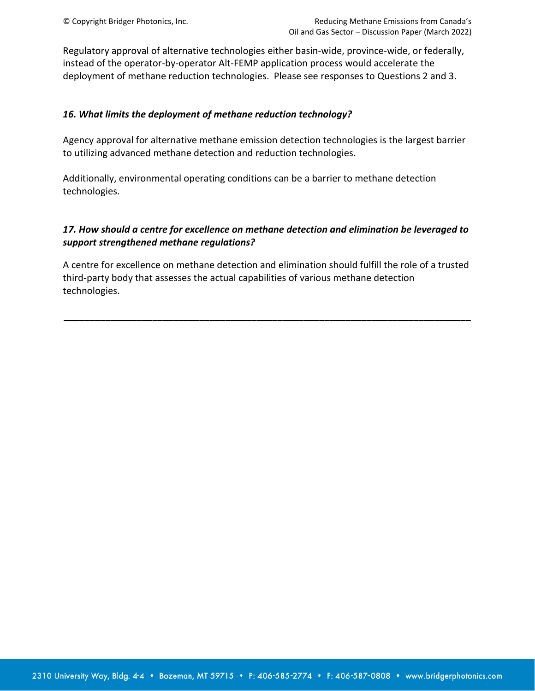Regulatory approval of alternative technologies either basin-wide, province-wide, or federally, instead of the operator-by-operator Alt-FEMP application process would accelerate the deployment of methane reduction technologies. Please see responses to Questions 2 and 3.

### *16. What limits the deployment of methane reduction technology?*

Agency approval for alternative methane emission detection technologies is the largest barrier to utilizing advanced methane detection and reduction technologies.

Additionally, environmental operating conditions can be a barrier to methane detection technologies.

### *17. How should a centre for excellence on methane detection and elimination be leveraged to support strengthened methane regulations?*

A centre for excellence on methane detection and elimination should fulfill the role of a trusted third-party body that assesses the actual capabilities of various methane detection technologies.

**\_\_\_\_\_\_\_\_\_\_\_\_\_\_\_\_\_\_\_\_\_\_\_\_\_\_\_\_\_\_\_\_\_\_\_\_\_\_\_\_\_\_\_\_\_\_\_\_\_\_\_\_\_\_\_\_\_\_\_\_\_\_\_\_\_\_\_\_\_\_\_\_\_\_\_\_\_\_**